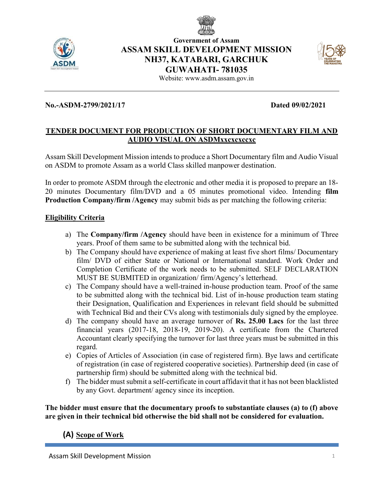



# Government of Assam ASSAM SKILL DEVELOPMENT MISSION NH37, KATABARI, GARCHUK GUWAHATI- 781035



Website: www.asdm.assam.gov.in

## No.-ASDM-2799/2021/17 Dated 09/02/2021

### TENDER DOCUMENT FOR PRODUCTION OF SHORT DOCUMENTARY FILM AND AUDIO VISUAL ON ASDMxxcxcxccxc

Assam Skill Development Mission intends to produce a Short Documentary film and Audio Visual on ASDM to promote Assam as a world Class skilled manpower destination.

In order to promote ASDM through the electronic and other media it is proposed to prepare an 18- 20 minutes Documentary film/DVD and a 05 minutes promotional video. Intending film Production Company/firm /Agency may submit bids as per matching the following criteria:

### Eligibility Criteria

- a) The Company/firm /Agency should have been in existence for a minimum of Three years. Proof of them same to be submitted along with the technical bid.
- b) The Company should have experience of making at least five short films/ Documentary film/ DVD of either State or National or International standard. Work Order and Completion Certificate of the work needs to be submitted. SELF DECLARATION MUST BE SUBMITED in organization/ firm/Agency's letterhead.
- c) The Company should have a well-trained in-house production team. Proof of the same to be submitted along with the technical bid. List of in-house production team stating their Designation, Qualification and Experiences in relevant field should be submitted with Technical Bid and their CVs along with testimonials duly signed by the employee.
- d) The company should have an average turnover of Rs. 25.00 Lacs for the last three financial years (2017-18, 2018-19, 2019-20). A certificate from the Chartered Accountant clearly specifying the turnover for last three years must be submitted in this regard.
- e) Copies of Articles of Association (in case of registered firm). Bye laws and certificate of registration (in case of registered cooperative societies). Partnership deed (in case of partnership firm) should be submitted along with the technical bid.
- f) The bidder must submit a self-certificate in court affidavit that it has not been blacklisted by any Govt. department/ agency since its inception.

The bidder must ensure that the documentary proofs to substantiate clauses (a) to (f) above are given in their technical bid otherwise the bid shall not be considered for evaluation.

# (A) Scope of Work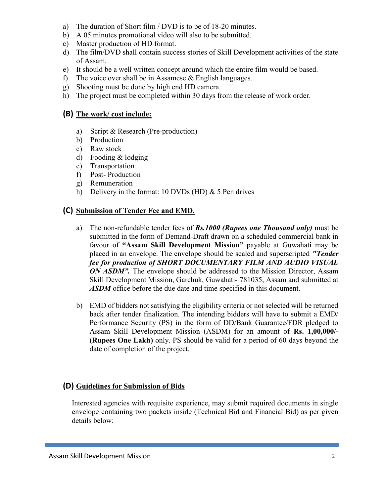- a) The duration of Short film / DVD is to be of 18-20 minutes.
- b) A 05 minutes promotional video will also to be submitted.
- c) Master production of HD format.
- d) The film/DVD shall contain success stories of Skill Development activities of the state of Assam.
- e) It should be a well written concept around which the entire film would be based.
- f) The voice over shall be in Assamese  $&$  English languages.
- g) Shooting must be done by high end HD camera.
- h) The project must be completed within 30 days from the release of work order.

# (B) The work/ cost include:

- a) Script & Research (Pre-production)
- b) Production
- c) Raw stock
- d) Fooding & lodging
- e) Transportation
- f) Post- Production
- g) Remuneration
- h) Delivery in the format: 10 DVDs (HD) & 5 Pen drives

## (C) Submission of Tender Fee and EMD.

- a) The non-refundable tender fees of  $\mathit{Rs}.1000$  (Rupees one Thousand only) must be submitted in the form of Demand-Draft drawn on a scheduled commercial bank in favour of "Assam Skill Development Mission" payable at Guwahati may be placed in an envelope. The envelope should be sealed and superscripted "Tender fee for production of SHORT DOCUMENTARY FILM AND AUDIO VISUAL ON ASDM". The envelope should be addressed to the Mission Director, Assam Skill Development Mission, Garchuk, Guwahati- 781035, Assam and submitted at ASDM office before the due date and time specified in this document.
- b) EMD of bidders not satisfying the eligibility criteria or not selected will be returned back after tender finalization. The intending bidders will have to submit a EMD/ Performance Security (PS) in the form of DD/Bank Guarantee/FDR pledged to Assam Skill Development Mission (ASDM) for an amount of Rs. 1,00,000/- (Rupees One Lakh) only. PS should be valid for a period of 60 days beyond the date of completion of the project.

# (D) Guidelines for Submission of Bids

Interested agencies with requisite experience, may submit required documents in single envelope containing two packets inside (Technical Bid and Financial Bid) as per given details below: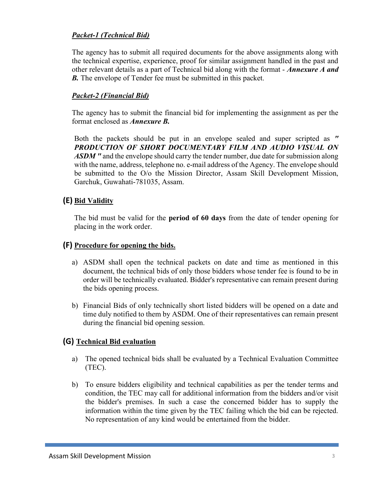# Packet-1 (Technical Bid)

The agency has to submit all required documents for the above assignments along with the technical expertise, experience, proof for similar assignment handled in the past and other relevant details as a part of Technical bid along with the format - Annexure A and **B.** The envelope of Tender fee must be submitted in this packet.

## Packet-2 (Financial Bid)

The agency has to submit the financial bid for implementing the assignment as per the format enclosed as Annexure B.

Both the packets should be put in an envelope sealed and super scripted as " PRODUCTION OF SHORT DOCUMENTARY FILM AND AUDIO VISUAL ON ASDM " and the envelope should carry the tender number, due date for submission along with the name, address, telephone no. e-mail address of the Agency. The envelope should be submitted to the O/o the Mission Director, Assam Skill Development Mission, Garchuk, Guwahati-781035, Assam.

## (E) Bid Validity

The bid must be valid for the **period of 60 days** from the date of tender opening for placing in the work order.

## (F) Procedure for opening the bids.

- a) ASDM shall open the technical packets on date and time as mentioned in this document, the technical bids of only those bidders whose tender fee is found to be in order will be technically evaluated. Bidder's representative can remain present during the bids opening process.
- b) Financial Bids of only technically short listed bidders will be opened on a date and time duly notified to them by ASDM. One of their representatives can remain present during the financial bid opening session.

### (G) Technical Bid evaluation

- a) The opened technical bids shall be evaluated by a Technical Evaluation Committee (TEC).
- b) To ensure bidders eligibility and technical capabilities as per the tender terms and condition, the TEC may call for additional information from the bidders and/or visit the bidder's premises. In such a case the concerned bidder has to supply the information within the time given by the TEC failing which the bid can be rejected. No representation of any kind would be entertained from the bidder.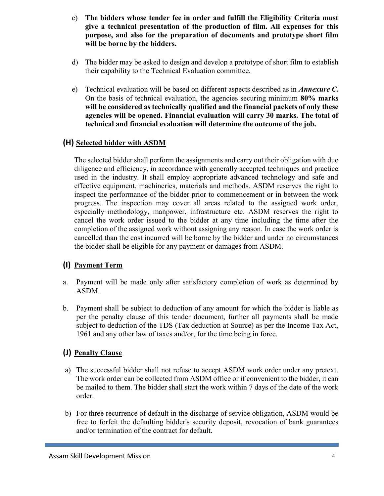- c) The bidders whose tender fee in order and fulfill the Eligibility Criteria must give a technical presentation of the production of film. All expenses for this purpose, and also for the preparation of documents and prototype short film will be borne by the bidders.
- d) The bidder may be asked to design and develop a prototype of short film to establish their capability to the Technical Evaluation committee.
- e) Technical evaluation will be based on different aspects described as in *Annexure C*. On the basis of technical evaluation, the agencies securing minimum 80% marks will be considered as technically qualified and the financial packets of only these agencies will be opened. Financial evaluation will carry 30 marks. The total of technical and financial evaluation will determine the outcome of the job.

# (H) Selected bidder with ASDM

The selected bidder shall perform the assignments and carry out their obligation with due diligence and efficiency, in accordance with generally accepted techniques and practice used in the industry. It shall employ appropriate advanced technology and safe and effective equipment, machineries, materials and methods. ASDM reserves the right to inspect the performance of the bidder prior to commencement or in between the work progress. The inspection may cover all areas related to the assigned work order, especially methodology, manpower, infrastructure etc. ASDM reserves the right to cancel the work order issued to the bidder at any time including the time after the completion of the assigned work without assigning any reason. In case the work order is cancelled than the cost incurred will be borne by the bidder and under no circumstances the bidder shall be eligible for any payment or damages from ASDM.

# (I) Payment Term

- a. Payment will be made only after satisfactory completion of work as determined by ASDM.
- b. Payment shall be subject to deduction of any amount for which the bidder is liable as per the penalty clause of this tender document, further all payments shall be made subject to deduction of the TDS (Tax deduction at Source) as per the Income Tax Act, 1961 and any other law of taxes and/or, for the time being in force.

# (J) Penalty Clause

- a) The successful bidder shall not refuse to accept ASDM work order under any pretext. The work order can be collected from ASDM office or if convenient to the bidder, it can be mailed to them. The bidder shall start the work within 7 days of the date of the work order.
- b) For three recurrence of default in the discharge of service obligation, ASDM would be free to forfeit the defaulting bidder's security deposit, revocation of bank guarantees and/or termination of the contract for default.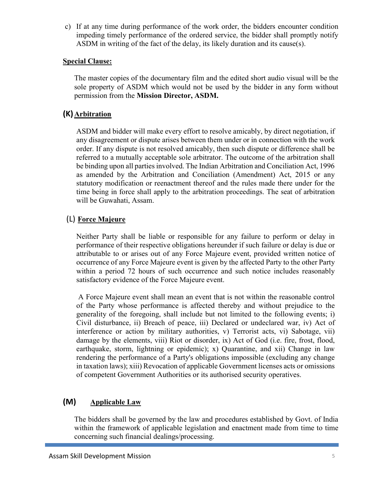c) If at any time during performance of the work order, the bidders encounter condition impeding timely performance of the ordered service, the bidder shall promptly notify ASDM in writing of the fact of the delay, its likely duration and its cause(s).

## Special Clause:

The master copies of the documentary film and the edited short audio visual will be the sole property of ASDM which would not be used by the bidder in any form without permission from the Mission Director, ASDM.

# (K) Arbitration

ASDM and bidder will make every effort to resolve amicably, by direct negotiation, if any disagreement or dispute arises between them under or in connection with the work order. If any dispute is not resolved amicably, then such dispute or difference shall be referred to a mutually acceptable sole arbitrator. The outcome of the arbitration shall be binding upon all parties involved. The Indian Arbitration and Conciliation Act, 1996 as amended by the Arbitration and Conciliation (Amendment) Act, 2015 or any statutory modification or reenactment thereof and the rules made there under for the time being in force shall apply to the arbitration proceedings. The seat of arbitration will be Guwahati, Assam.

# (L) Force Majeure

Neither Party shall be liable or responsible for any failure to perform or delay in performance of their respective obligations hereunder if such failure or delay is due or attributable to or arises out of any Force Majeure event, provided written notice of occurrence of any Force Majeure event is given by the affected Party to the other Party within a period 72 hours of such occurrence and such notice includes reasonably satisfactory evidence of the Force Majeure event.

 A Force Majeure event shall mean an event that is not within the reasonable control of the Party whose performance is affected thereby and without prejudice to the generality of the foregoing, shall include but not limited to the following events; i) Civil disturbance, ii) Breach of peace, iii) Declared or undeclared war, iv) Act of interference or action by military authorities, v) Terrorist acts, vi) Sabotage, vii) damage by the elements, viii) Riot or disorder, ix) Act of God (i.e. fire, frost, flood, earthquake, storm, lightning or epidemic); x) Quarantine, and xii) Change in law rendering the performance of a Party's obligations impossible (excluding any change in taxation laws); xiii) Revocation of applicable Government licenses acts or omissions of competent Government Authorities or its authorised security operatives.

# (M) Applicable Law

The bidders shall be governed by the law and procedures established by Govt. of India within the framework of applicable legislation and enactment made from time to time concerning such financial dealings/processing.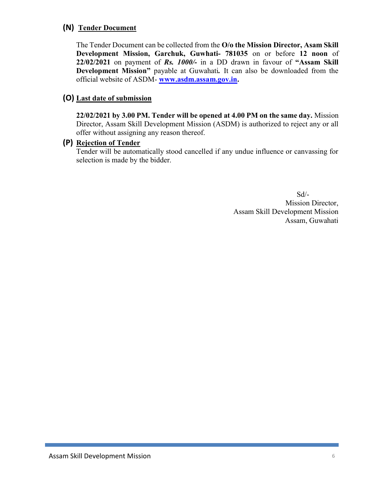# (N) Tender Document

The Tender Document can be collected from the O/o the Mission Director, Asam Skill Development Mission, Garchuk, Guwhati- 781035 on or before 12 noon of  $22/02/2021$  on payment of Rs. 1000/- in a DD drawn in favour of "Assam Skill Development Mission" payable at Guwahati. It can also be downloaded from the official website of ASDM- www.asdm.assam.gov.in.

## (O) Last date of submission

22/02/2021 by 3.00 PM. Tender will be opened at 4.00 PM on the same day. Mission Director, Assam Skill Development Mission (ASDM) is authorized to reject any or all offer without assigning any reason thereof.

### (P) Rejection of Tender

Tender will be automatically stood cancelled if any undue influence or canvassing for selection is made by the bidder.

 Sd/- Mission Director, Assam Skill Development Mission Assam, Guwahati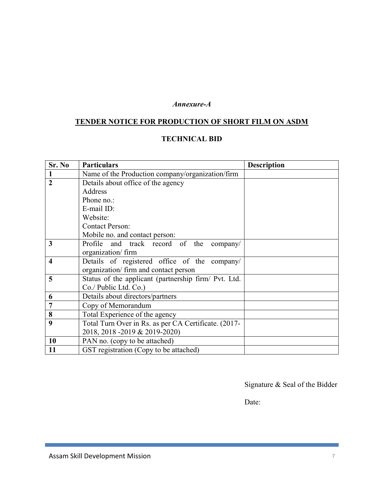#### Annexure-A

# TENDER NOTICE FOR PRODUCTION OF SHORT FILM ON ASDM

# TECHNICAL BID

| Sr. No                  | <b>Particulars</b>                                   | <b>Description</b> |
|-------------------------|------------------------------------------------------|--------------------|
|                         | Name of the Production company/organization/firm     |                    |
| $\overline{2}$          | Details about office of the agency                   |                    |
|                         | Address                                              |                    |
|                         | Phone no.:                                           |                    |
|                         | E-mail ID:                                           |                    |
|                         | Website:                                             |                    |
|                         | <b>Contact Person:</b>                               |                    |
|                         | Mobile no. and contact person:                       |                    |
| 3                       | Profile and track record of the<br>company/          |                    |
|                         | organization/firm                                    |                    |
| $\overline{\mathbf{4}}$ | Details of registered office of the company/         |                    |
|                         | organization/ firm and contact person                |                    |
| 5                       | Status of the applicant (partnership firm/ Pvt. Ltd. |                    |
|                         | Co./ Public Ltd. Co.)                                |                    |
| 6                       | Details about directors/partners                     |                    |
| $\overline{7}$          | Copy of Memorandum                                   |                    |
| 8                       | Total Experience of the agency                       |                    |
| 9                       | Total Turn Over in Rs. as per CA Certificate. (2017- |                    |
|                         | 2018, 2018 -2019 & 2019-2020)                        |                    |
| 10                      | PAN no. (copy to be attached)                        |                    |
| 11                      | GST registration (Copy to be attached)               |                    |

Signature & Seal of the Bidder

Date: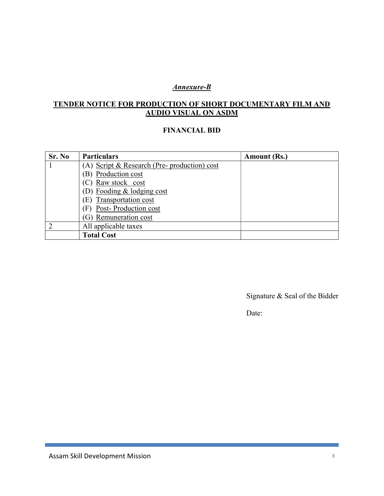## Annexure-B

# TENDER NOTICE FOR PRODUCTION OF SHORT DOCUMENTARY FILM AND AUDIO VISUAL ON ASDM

#### FINANCIAL BID

| Sr. No | <b>Particulars</b>                           | Amount (Rs.) |
|--------|----------------------------------------------|--------------|
|        | (A) Script & Research (Pre- production) cost |              |
|        | (B) Production cost                          |              |
|        | (C) Raw stock cost                           |              |
|        | (D) Fooding & lodging cost                   |              |
|        | Transportation cost<br>E)                    |              |
|        | Post-Production cost<br>(F)                  |              |
|        | Remuneration cost                            |              |
| ာ      | All applicable taxes                         |              |
|        | <b>Total Cost</b>                            |              |

Signature & Seal of the Bidder

Date: